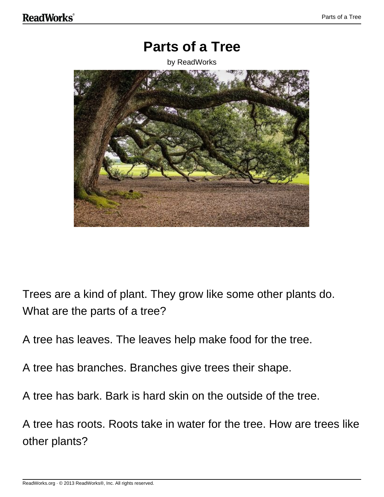### **Parts of a Tree**

by ReadWorks



Trees are a kind of plant. They grow like some other plants do. What are the parts of a tree?

A tree has leaves. The leaves help make food for the tree.

A tree has branches. Branches give trees their shape.

A tree has bark. Bark is hard skin on the outside of the tree.

A tree has roots. Roots take in water for the tree. How are trees like other plants?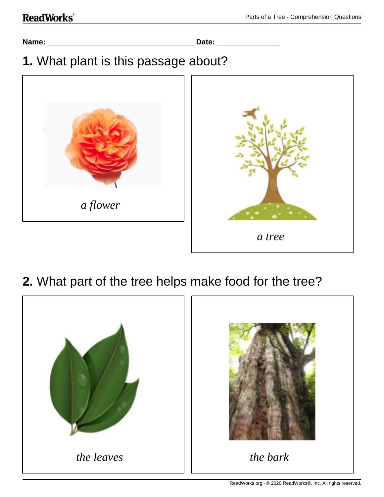```
Name: ___________________________________ Date: _______________
```
## **1.** What plant is this passage about?



## **2.** What part of the tree helps make food for the tree?

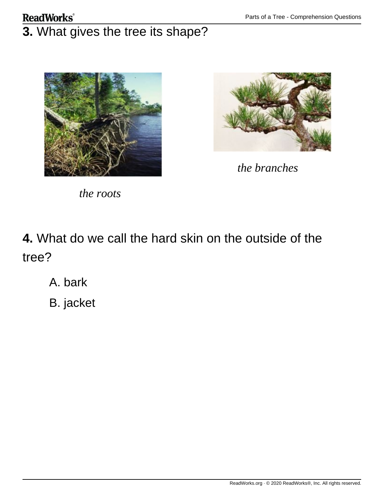### **ReadWorks**®

# **3.** What gives the tree its shape?





*the branches*

*the roots*

**4.** What do we call the hard skin on the outside of the tree?

A. bark

B. jacket